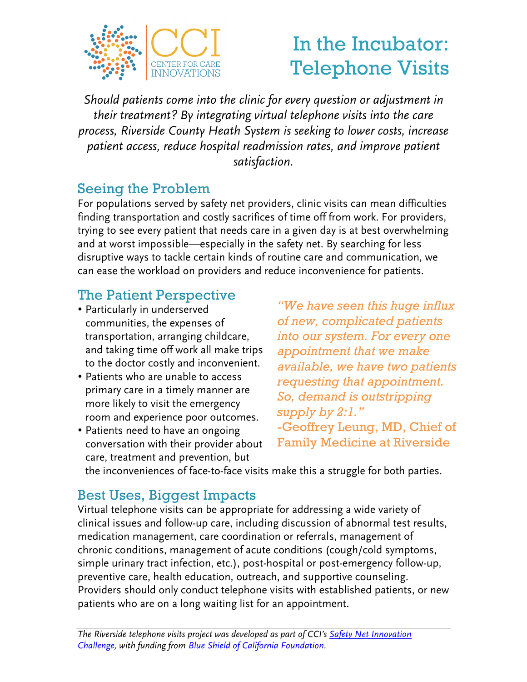

# In the Incubator: Telephone Visits

*Should patients come into the clinic for every question or adjustment in their treatment? By integrating virtual telephone visits into the care process, Riverside County Heath System is seeking to lower costs, increase patient access, reduce hospital readmission rates, and improve patient satisfaction.*

#### Seeing the Problem

For populations served by safety net providers, clinic visits can mean difficulties finding transportation and costly sacrifices of time off from work. For providers, trying to see every patient that needs care in a given day is at best overwhelming and at worst impossible—especially in the safety net. By searching for less disruptive ways to tackle certain kinds of routine care and communication, we can ease the workload on providers and reduce inconvenience for patients.

## The Patient Perspective

- Particularly in underserved communities, the expenses of transportation, arranging childcare, and taking time off work all make trips to the doctor costly and inconvenient.
- Patients who are unable to access primary care in a timely manner are more likely to visit the emergency room and experience poor outcomes.
- Patients need to have an ongoing conversation with their provider about care, treatment and prevention, but

*"We have seen this huge influx of new, complicated patients into our system. For every one appointment that we make available, we have two patients requesting that appointment. So, demand is outstripping supply by 2:1."* -Geoffrey Leung, MD, Chief of Family Medicine at Riverside

the inconveniences of face-to-face visits make this a struggle for both parties.

### Best Uses, Biggest Impacts

Virtual telephone visits can be appropriate for addressing a wide variety of clinical issues and follow-up care, including discussion of abnormal test results, medication management, care coordination or referrals, management of chronic conditions, management of acute conditions (cough/cold symptoms, simple urinary tract infection, etc.), post-hospital or post-emergency follow-up, preventive care, health education, outreach, and supportive counseling. Providers should only conduct telephone visits with established patients, or new patients who are on a long waiting list for an appointment.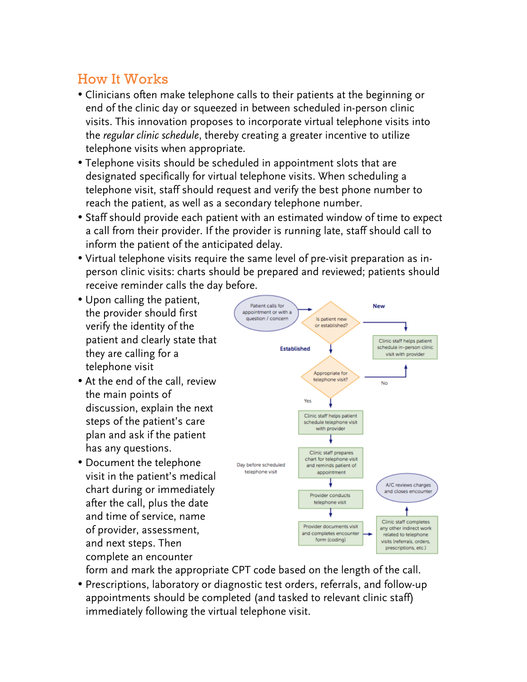#### How It Works

- Clinicians often make telephone calls to their patients at the beginning or end of the clinic day or squeezed in between scheduled in-person clinic visits. This innovation proposes to incorporate virtual telephone visits into the *regular clinic schedule*, thereby creating a greater incentive to utilize telephone visits when appropriate.
- Telephone visits should be scheduled in appointment slots that are designated specifically for virtual telephone visits. When scheduling a telephone visit, staff should request and verify the best phone number to reach the patient, as well as a secondary telephone number.
- Staff should provide each patient with an estimated window of time to expect a call from their provider. If the provider is running late, staff should call to inform the patient of the anticipated delay.
- Virtual telephone visits require the same level of pre-visit preparation as inperson clinic visits: charts should be prepared and reviewed; patients should receive reminder calls the day before.
- Upon calling the patient, the provider should first verify the identity of the patient and clearly state that they are calling for a telephone visit
- At the end of the call, review the main points of discussion, explain the next steps of the patient's care plan and ask if the patient has any questions.
- Document the telephone visit in the patient's medical chart during or immediately after the call, plus the date and time of service, name of provider, assessment, and next steps. Then complete an encounter



form and mark the appropriate CPT code based on the length of the call.

• Prescriptions, laboratory or diagnostic test orders, referrals, and follow-up appointments should be completed (and tasked to relevant clinic staff) immediately following the virtual telephone visit.